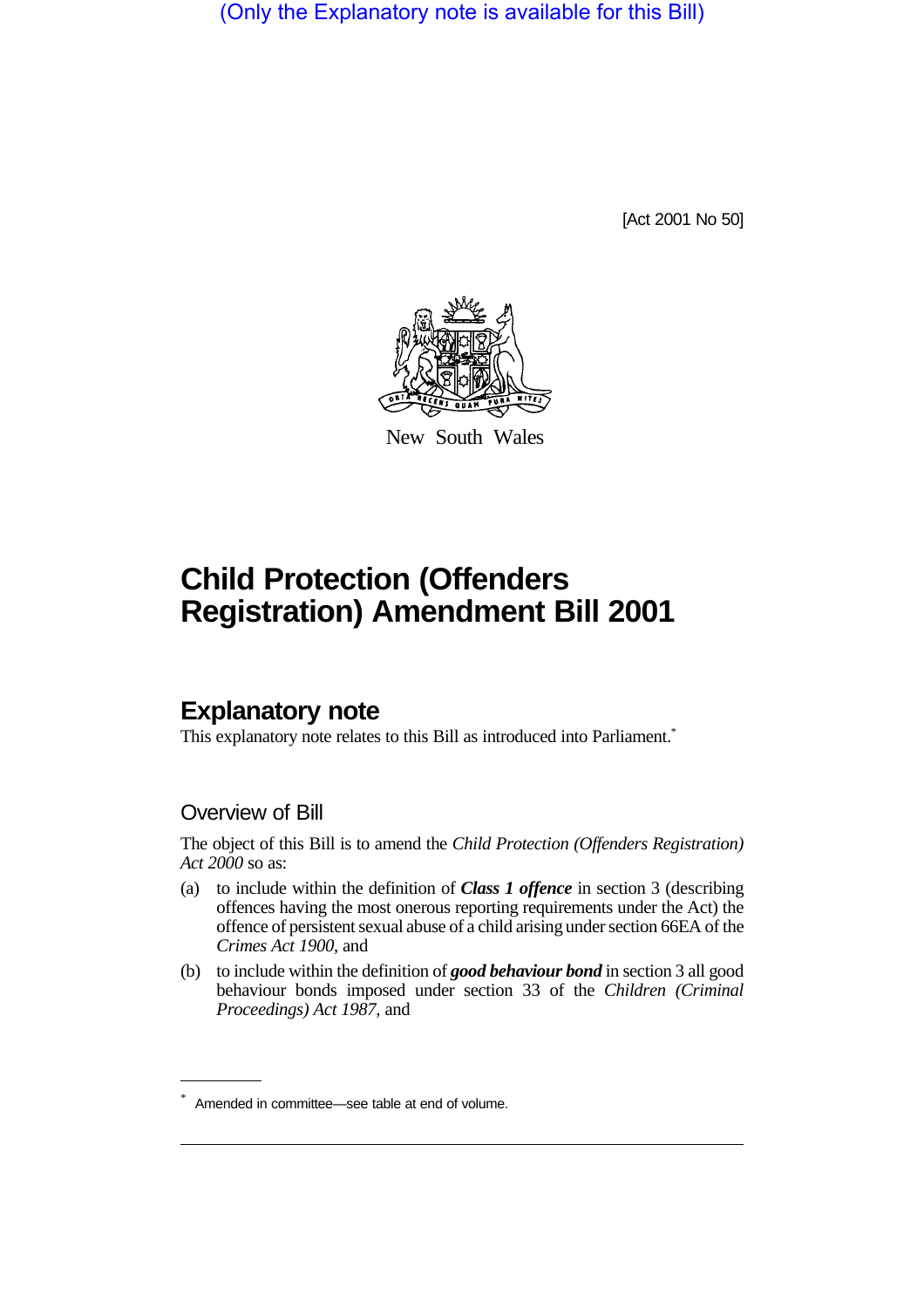(Only the Explanatory note is available for this Bill)

[Act 2001 No 50]



New South Wales

## **Child Protection (Offenders Registration) Amendment Bill 2001**

## **Explanatory note**

This explanatory note relates to this Bill as introduced into Parliament.<sup>\*</sup>

## Overview of Bill

The object of this Bill is to amend the *Child Protection (Offenders Registration) Act 2000* so as:

- (a) to include within the definition of *Class 1 offence* in section 3 (describing offences having the most onerous reporting requirements under the Act) the offence of persistent sexual abuse of a child arising under section 66EA of the *Crimes Act 1900*, and
- (b) to include within the definition of *good behaviour bond* in section 3 all good behaviour bonds imposed under section 33 of the *Children (Criminal Proceedings) Act 1987*, and

<sup>\*</sup> Amended in committee—see table at end of volume.